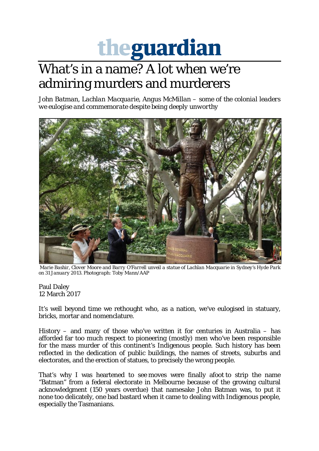## theguardian

## What's in a name? A lot when we're admiring murders and murderers

*John Batman, Lachlan Macquarie, Angus McMillan – some of the colonial leaders we eulogise and commemorate despite being deeply unworthy*



*Marie Bashir, Clover Moore and Barry O'Farrell unveil a statue of Lachlan Macquarie in Sydney's Hyde Park on 31 January 2013. Photograph: Toby Mann/AAP*

## Paul Daley 12 March 2017

It's well beyond time we rethought who, as a nation, we've eulogised in statuary, bricks, mortar and nomenclature.

History – and many of those who've written it for centuries in Australia – has afforded far too much respect to pioneering (mostly) men who've been responsible for the mass murder of this continent's Indigenous people. Such history has been reflected in the dedication of public buildings, the names of streets, suburbs and electorates, and the erection of statues, to precisely the wrong people.

That's why I was heartened to see moves were finally afoot to strip the name "Batman" from a federal electorate in Melbourne because of the growing cultural acknowledgment (150 years overdue) that namesake John Batman was, to put it none too delicately, one bad bastard when it came to dealing with Indigenous people, especially the Tasmanians.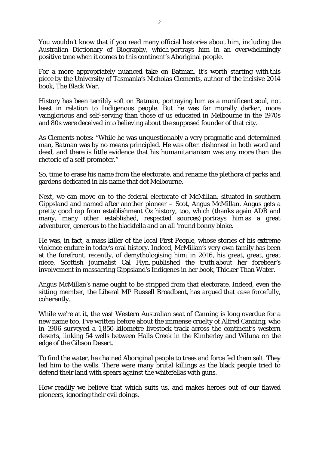You wouldn't know that if you read many official histories about him, including the Australian Dictionary of Biography, which portrays him in an overwhelmingly positive tone when it comes to this continent's Aboriginal people.

For a more appropriately nuanced take on Batman, it's worth starting with [this](https://theconversation.com/the-truth-about-john-batman-melbournes-founder-and-murderer-of-the-blacks-1025)  [piece](https://theconversation.com/the-truth-about-john-batman-melbournes-founder-and-murderer-of-the-blacks-1025) by the University of Tasmania's Nicholas Clements, author of the incisive 2014 book, The Black War.

History has been terribly soft on Batman, portraying him as a munificent soul, not least in relation to Indigenous people. But he was far morally darker, more vainglorious and self-serving than those of us educated in Melbourne in the 1970s and 80s were deceived into believing about the supposed founder of that city.

As Clements notes: "While he was unquestionably a very pragmatic and determined man, Batman was by no means principled. He was often dishonest in both word and deed, and there is little evidence that his humanitarianism was any more than the rhetoric of a self-promoter."

So, time to erase his name from the electorate, and rename the plethora of parks and gardens dedicated in his name that dot Melbourne.

Next, we can move on to the federal electorate of McMillan, situated in southern Gippsland and named after another pioneer – Scot, Angus McMillan. Angus gets a pretty good rap from establishment Oz history, too, which (thanks again ADB and many, many other established, respected sources) portrays him as a great adventurer, generous to the blackfella and an all 'round bonny bloke.

He was, in fact, a mass killer of the local First People, whose stories of his extreme violence endure in today's oral history. Indeed, McMillan's very own family has been at the forefront, recently, of demythologising him; in 2016, his great, great, great niece, Scottish journalist Cal Flyn, published the truth about her forebear's involvement in massacring Gippsland's Indigenes in her book, Thicker Than Water.

Angus McMillan's name ought to be stripped from that electorate. Indeed, even the sitting member, the Liberal MP Russell Broadbent, has argued that case forcefully, coherently.

While we're at it, the vast Western Australian seat of Canning is long overdue for a new name too. I've written before about the immense cruelty of Alfred Canning, who in 1906 surveyed a 1,850-kilometre livestock track across the continent's western deserts, linking 54 wells between Halls Creek in the Kimberley and Wiluna on the edge of the Gibson Desert.

To find the water, he chained Aboriginal people to trees and force fed them salt. They led him to the wells. There were many brutal killings as the black people tried to defend their land with spears against the whitefellas with guns.

How readily we believe that which suits us, and makes heroes out of our flawed pioneers, ignoring their evil doings.